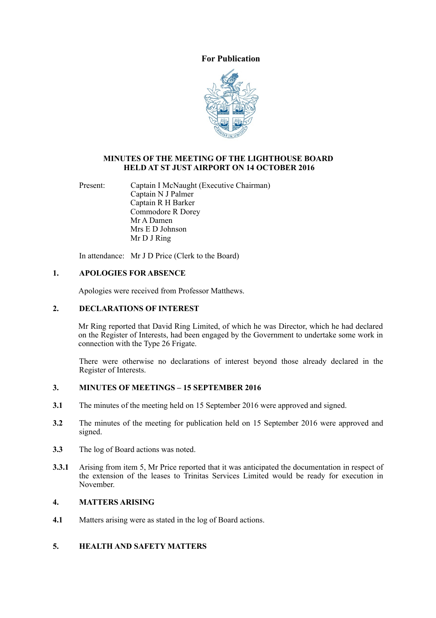# **For Publication**



#### **MINUTES OF THE MEETING OF THE LIGHTHOUSE BOARD HELD AT ST JUST AIRPORT ON 14 OCTOBER 2016**

Present: Captain I McNaught (Executive Chairman) Captain N J Palmer Captain R H Barker Commodore R Dorey Mr A Damen Mrs E D Johnson Mr D J Ring

In attendance: Mr J D Price (Clerk to the Board)

### **1. APOLOGIES FOR ABSENCE**

Apologies were received from Professor Matthews.

#### **2. DECLARATIONS OF INTEREST**

Mr Ring reported that David Ring Limited, of which he was Director, which he had declared on the Register of Interests, had been engaged by the Government to undertake some work in connection with the Type 26 Frigate.

There were otherwise no declarations of interest beyond those already declared in the Register of Interests.

#### **3. MINUTES OF MEETINGS – 15 SEPTEMBER 2016**

- **3.1** The minutes of the meeting held on 15 September 2016 were approved and signed.
- **3.2** The minutes of the meeting for publication held on 15 September 2016 were approved and signed.
- **3.3** The log of Board actions was noted.
- **3.3.1** Arising from item 5, Mr Price reported that it was anticipated the documentation in respect of the extension of the leases to Trinitas Services Limited would be ready for execution in November.

# **4. MATTERS ARISING**

**4.1** Matters arising were as stated in the log of Board actions.

#### **5. HEALTH AND SAFETY MATTERS**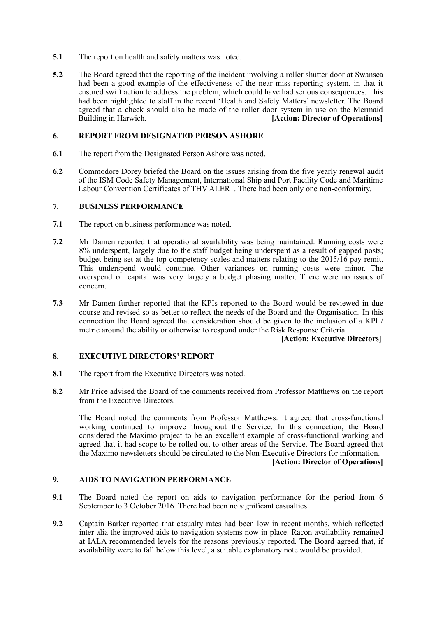- **5.1** The report on health and safety matters was noted.
- **5.2** The Board agreed that the reporting of the incident involving a roller shutter door at Swansea had been a good example of the effectiveness of the near miss reporting system, in that it ensured swift action to address the problem, which could have had serious consequences. This had been highlighted to staff in the recent 'Health and Safety Matters' newsletter. The Board agreed that a check should also be made of the roller door system in use on the Mermaid Building in Harwich. **[Action: Director of Operations]**

#### **6. REPORT FROM DESIGNATED PERSON ASHORE**

- **6.1** The report from the Designated Person Ashore was noted.
- **6.2** Commodore Dorey briefed the Board on the issues arising from the five yearly renewal audit of the ISM Code Safety Management, International Ship and Port Facility Code and Maritime Labour Convention Certificates of THV ALERT. There had been only one non-conformity.

### **7. BUSINESS PERFORMANCE**

- **7.1** The report on business performance was noted.
- **7.2** Mr Damen reported that operational availability was being maintained. Running costs were 8% underspent, largely due to the staff budget being underspent as a result of gapped posts; budget being set at the top competency scales and matters relating to the 2015/16 pay remit. This underspend would continue. Other variances on running costs were minor. The overspend on capital was very largely a budget phasing matter. There were no issues of concern.
- **7.3** Mr Damen further reported that the KPIs reported to the Board would be reviewed in due course and revised so as better to reflect the needs of the Board and the Organisation. In this connection the Board agreed that consideration should be given to the inclusion of a KPI / metric around the ability or otherwise to respond under the Risk Response Criteria.

### **[Action: Executive Directors]**

### **8. EXECUTIVE DIRECTORS' REPORT**

- **8.1** The report from the Executive Directors was noted.
- **8.2** Mr Price advised the Board of the comments received from Professor Matthews on the report from the Executive Directors.

 The Board noted the comments from Professor Matthews. It agreed that cross-functional working continued to improve throughout the Service. In this connection, the Board considered the Maximo project to be an excellent example of cross-functional working and agreed that it had scope to be rolled out to other areas of the Service. The Board agreed that the Maximo newsletters should be circulated to the Non-Executive Directors for information.

**[Action: Director of Operations]**

## **9. AIDS TO NAVIGATION PERFORMANCE**

- **9.1** The Board noted the report on aids to navigation performance for the period from 6 September to 3 October 2016. There had been no significant casualties.
- **9.2** Captain Barker reported that casualty rates had been low in recent months, which reflected inter alia the improved aids to navigation systems now in place. Racon availability remained at IALA recommended levels for the reasons previously reported. The Board agreed that, if availability were to fall below this level, a suitable explanatory note would be provided.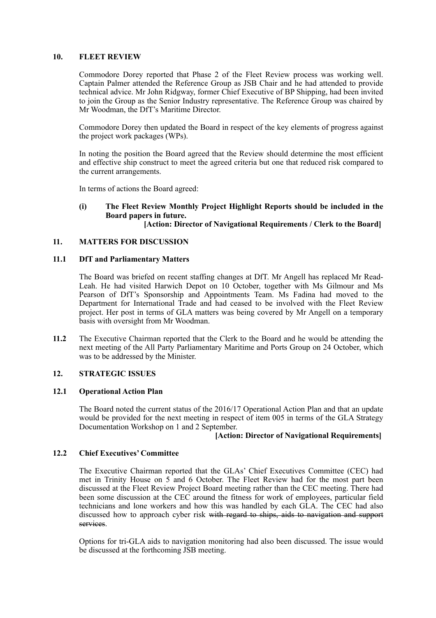### **10. FLEET REVIEW**

Commodore Dorey reported that Phase 2 of the Fleet Review process was working well. Captain Palmer attended the Reference Group as JSB Chair and he had attended to provide technical advice. Mr John Ridgway, former Chief Executive of BP Shipping, had been invited to join the Group as the Senior Industry representative. The Reference Group was chaired by Mr Woodman, the DfT's Maritime Director.

 Commodore Dorey then updated the Board in respect of the key elements of progress against the project work packages (WPs).

 In noting the position the Board agreed that the Review should determine the most efficient and effective ship construct to meet the agreed criteria but one that reduced risk compared to the current arrangements.

In terms of actions the Board agreed:

# **(i) The Fleet Review Monthly Project Highlight Reports should be included in the Board papers in future.**

# **[Action: Director of Navigational Requirements / Clerk to the Board]**

## **11. MATTERS FOR DISCUSSION**

### **11.1 DfT and Parliamentary Matters**

The Board was briefed on recent staffing changes at DfT. Mr Angell has replaced Mr Read-Leah. He had visited Harwich Depot on 10 October, together with Ms Gilmour and Ms Pearson of DfT's Sponsorship and Appointments Team. Ms Fadina had moved to the Department for International Trade and had ceased to be involved with the Fleet Review project. Her post in terms of GLA matters was being covered by Mr Angell on a temporary basis with oversight from Mr Woodman.

**11.2** The Executive Chairman reported that the Clerk to the Board and he would be attending the next meeting of the All Party Parliamentary Maritime and Ports Group on 24 October, which was to be addressed by the Minister.

### **12. STRATEGIC ISSUES**

### **12.1 Operational Action Plan**

The Board noted the current status of the 2016/17 Operational Action Plan and that an update would be provided for the next meeting in respect of item 005 in terms of the GLA Strategy Documentation Workshop on 1 and 2 September.

### **[Action: Director of Navigational Requirements]**

### **12.2 Chief Executives' Committee**

The Executive Chairman reported that the GLAs' Chief Executives Committee (CEC) had met in Trinity House on 5 and 6 October. The Fleet Review had for the most part been discussed at the Fleet Review Project Board meeting rather than the CEC meeting. There had been some discussion at the CEC around the fitness for work of employees, particular field technicians and lone workers and how this was handled by each GLA. The CEC had also discussed how to approach cyber risk with regard to ships, aids to navigation and support services.

 Options for tri-GLA aids to navigation monitoring had also been discussed. The issue would be discussed at the forthcoming JSB meeting.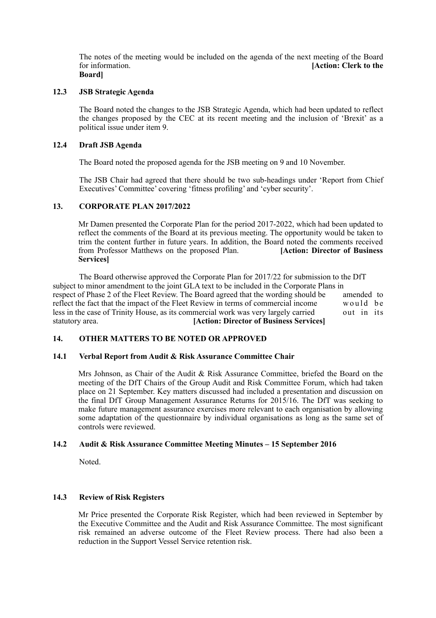The notes of the meeting would be included on the agenda of the next meeting of the Board for information. **[Action: Clerk to the Board]** 

### **12.3 JSB Strategic Agenda**

The Board noted the changes to the JSB Strategic Agenda, which had been updated to reflect the changes proposed by the CEC at its recent meeting and the inclusion of 'Brexit' as a political issue under item 9.

#### **12.4 Draft JSB Agenda**

The Board noted the proposed agenda for the JSB meeting on 9 and 10 November.

 The JSB Chair had agreed that there should be two sub-headings under 'Report from Chief Executives' Committee' covering 'fitness profiling' and 'cyber security'.

#### **13. CORPORATE PLAN 2017/2022**

Mr Damen presented the Corporate Plan for the period 2017-2022, which had been updated to reflect the comments of the Board at its previous meeting. The opportunity would be taken to trim the content further in future years. In addition, the Board noted the comments received from Professor Matthews on the proposed Plan. **[Action: Director of Business Services]** 

The Board otherwise approved the Corporate Plan for 2017/22 for submission to the DfT subject to minor amendment to the joint GLA text to be included in the Corporate Plans in respect of Phase 2 of the Fleet Review. The Board agreed that the wording should be amended to reflect the fact that the impact of the Fleet Review in terms of commercial income reflect the fact that the impact of the Fleet Review in terms of commercial income would be less in the case of Trinity House, as its commercial work was very largely carried out in its less in the case of Trinity House, as its commercial work was very largely carried statutory area. **[Action: Director of Business Services]** 

### **14. OTHER MATTERS TO BE NOTED OR APPROVED**

#### **14.1 Verbal Report from Audit & Risk Assurance Committee Chair**

Mrs Johnson, as Chair of the Audit & Risk Assurance Committee, briefed the Board on the meeting of the DfT Chairs of the Group Audit and Risk Committee Forum, which had taken place on 21 September. Key matters discussed had included a presentation and discussion on the final DfT Group Management Assurance Returns for 2015/16. The DfT was seeking to make future management assurance exercises more relevant to each organisation by allowing some adaptation of the questionnaire by individual organisations as long as the same set of controls were reviewed.

### **14.2 Audit & Risk Assurance Committee Meeting Minutes – 15 September 2016**

Noted.

### **14.3 Review of Risk Registers**

Mr Price presented the Corporate Risk Register, which had been reviewed in September by the Executive Committee and the Audit and Risk Assurance Committee. The most significant risk remained an adverse outcome of the Fleet Review process. There had also been a reduction in the Support Vessel Service retention risk.